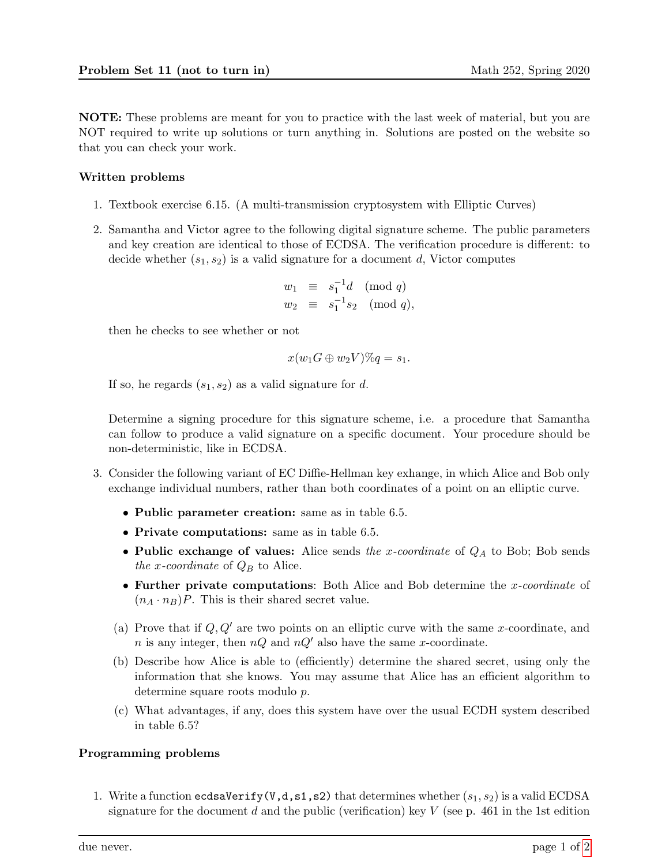NOTE: These problems are meant for you to practice with the last week of material, but you are NOT required to write up solutions or turn anything in. Solutions are posted on the website so that you can check your work.

## Written problems

- 1. Textbook exercise 6.15. (A multi-transmission cryptosystem with Elliptic Curves)
- 2. Samantha and Victor agree to the following digital signature scheme. The public parameters and key creation are identical to those of ECDSA. The verification procedure is different: to decide whether  $(s_1, s_2)$  is a valid signature for a document d, Victor computes

$$
w_1 \equiv s_1^{-1}d \pmod{q}
$$
  

$$
w_2 \equiv s_1^{-1}s_2 \pmod{q},
$$

then he checks to see whether or not

$$
x(w_1G \oplus w_2V)\%q = s_1.
$$

If so, he regards  $(s_1, s_2)$  as a valid signature for d.

Determine a signing procedure for this signature scheme, i.e. a procedure that Samantha can follow to produce a valid signature on a specific document. Your procedure should be non-deterministic, like in ECDSA.

- 3. Consider the following variant of EC Diffie-Hellman key exhange, in which Alice and Bob only exchange individual numbers, rather than both coordinates of a point on an elliptic curve.
	- Public parameter creation: same as in table 6.5.
	- Private computations: same as in table 6.5.
	- Public exchange of values: Alice sends the x-coordinate of  $Q_A$  to Bob; Bob sends the x-coordinate of  $Q_B$  to Alice.
	- Further private computations: Both Alice and Bob determine the x-coordinate of  $(n_A \cdot n_B)P$ . This is their shared secret value.
	- (a) Prove that if  $Q, Q'$  are two points on an elliptic curve with the same x-coordinate, and n is any integer, then  $nQ$  and  $nQ'$  also have the same x-coordinate.
	- (b) Describe how Alice is able to (efficiently) determine the shared secret, using only the information that she knows. You may assume that Alice has an efficient algorithm to determine square roots modulo p.
	- (c) What advantages, if any, does this system have over the usual ECDH system described in table 6.5?

## Programming problems

1. Write a function ecdsaVerify(V,d,s1,s2) that determines whether  $(s_1, s_2)$  is a valid ECDSA signature for the document d and the public (verification) key  $V$  (see p. 461 in the 1st edition